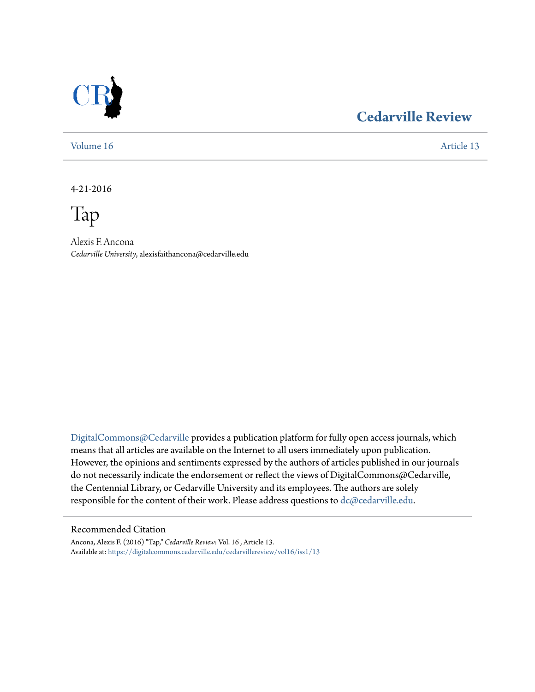

## **[Cedarville Review](https://digitalcommons.cedarville.edu/cedarvillereview?utm_source=digitalcommons.cedarville.edu%2Fcedarvillereview%2Fvol16%2Fiss1%2F13&utm_medium=PDF&utm_campaign=PDFCoverPages)**

[Volume 16](https://digitalcommons.cedarville.edu/cedarvillereview/vol16?utm_source=digitalcommons.cedarville.edu%2Fcedarvillereview%2Fvol16%2Fiss1%2F13&utm_medium=PDF&utm_campaign=PDFCoverPages) [Article 13](https://digitalcommons.cedarville.edu/cedarvillereview/vol16/iss1/13?utm_source=digitalcommons.cedarville.edu%2Fcedarvillereview%2Fvol16%2Fiss1%2F13&utm_medium=PDF&utm_campaign=PDFCoverPages)

4-21-2016

Tap

Alexis F. Ancona *Cedarville University*, alexisfaithancona@cedarville.edu

[DigitalCommons@Cedarville](http://digitalcommons.cedarville.edu) provides a publication platform for fully open access journals, which means that all articles are available on the Internet to all users immediately upon publication. However, the opinions and sentiments expressed by the authors of articles published in our journals do not necessarily indicate the endorsement or reflect the views of DigitalCommons@Cedarville, the Centennial Library, or Cedarville University and its employees. The authors are solely responsible for the content of their work. Please address questions to [dc@cedarville.edu](mailto:dc@cedarville.edu).

#### Recommended Citation

Ancona, Alexis F. (2016) "Tap," *Cedarville Review*: Vol. 16 , Article 13. Available at: [https://digitalcommons.cedarville.edu/cedarvillereview/vol16/iss1/13](https://digitalcommons.cedarville.edu/cedarvillereview/vol16/iss1/13?utm_source=digitalcommons.cedarville.edu%2Fcedarvillereview%2Fvol16%2Fiss1%2F13&utm_medium=PDF&utm_campaign=PDFCoverPages)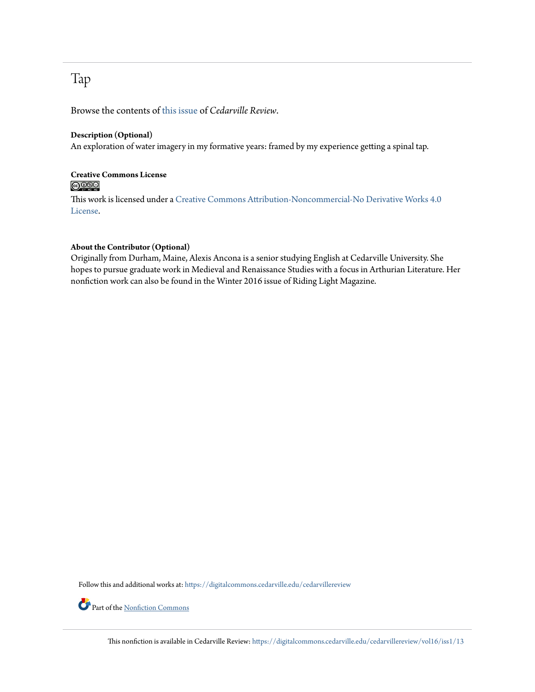## Tap

Browse the contents of [this issue](https://digitalcommons.cedarville.edu/cedarvillereview/vol16/iss1) of *Cedarville Review*.

#### **Description (Optional)**

An exploration of water imagery in my formative years: framed by my experience getting a spinal tap.

### **Creative Commons License**  $\bigcirc$   $\circ$

This work is licensed under a [Creative Commons Attribution-Noncommercial-No Derivative Works 4.0](http://creativecommons.org/licenses/by-nc-nd/4.0/) [License.](http://creativecommons.org/licenses/by-nc-nd/4.0/)

#### **About the Contributor (Optional)**

Originally from Durham, Maine, Alexis Ancona is a senior studying English at Cedarville University. She hopes to pursue graduate work in Medieval and Renaissance Studies with a focus in Arthurian Literature. Her nonfiction work can also be found in the Winter 2016 issue of Riding Light Magazine.

Follow this and additional works at: [https://digitalcommons.cedarville.edu/cedarvillereview](https://digitalcommons.cedarville.edu/cedarvillereview?utm_source=digitalcommons.cedarville.edu%2Fcedarvillereview%2Fvol16%2Fiss1%2F13&utm_medium=PDF&utm_campaign=PDFCoverPages)

Part of the <u>[Nonfiction Commons](http://network.bepress.com/hgg/discipline/1152?utm_source=digitalcommons.cedarville.edu%2Fcedarvillereview%2Fvol16%2Fiss1%2F13&utm_medium=PDF&utm_campaign=PDFCoverPages)</u>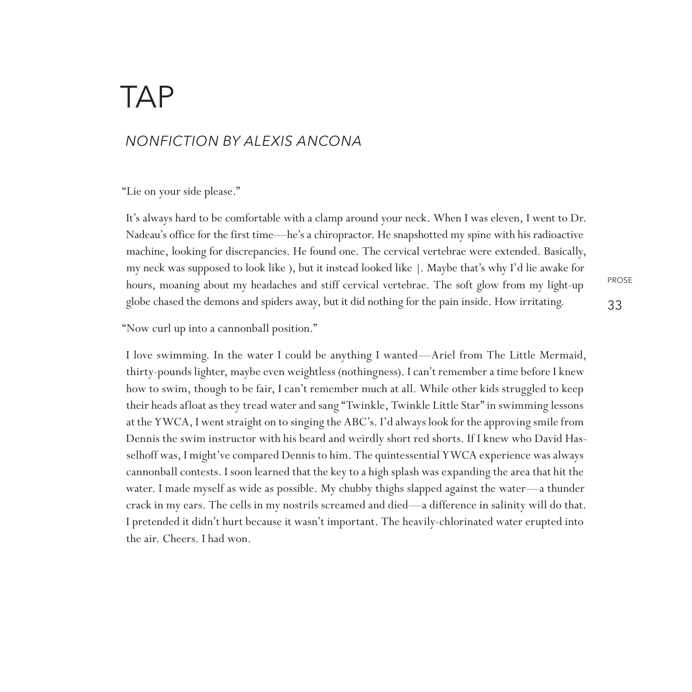# **TAP**

### *nonfiction By Alexis Ancona*

"Lie on your side please."

It's always hard to be comfortable with a clamp around your neck. When I was eleven, I went to Dr. Nadeau's office for the first time—he's a chiropractor. He snapshotted my spine with his radioactive machine, looking for discrepancies. He found one. The cervical vertebrae were extended. Basically, my neck was supposed to look like ), but it instead looked like |. Maybe that's why I'd lie awake for hours, moaning about my headaches and stiff cervical vertebrae. The soft glow from my light-up globe chased the demons and spiders away, but it did nothing for the pain inside. How irritating.

PROSE

"Now curl up into a cannonball position."

I love swimming. In the water I could be anything I wanted—Ariel from The Little Mermaid, thirty-pounds lighter, maybe even weightless (nothingness). I can't remember a time before I knew how to swim, though to be fair, I can't remember much at all. While other kids struggled to keep their heads afloat as they tread water and sang "Twinkle, Twinkle Little Star" in swimming lessons at the YWCA, I went straight on to singing the ABC's. I'd always look for the approving smile from Dennis the swim instructor with his beard and weirdly short red shorts. If I knew who David Hasselhoff was, I might've compared Dennis to him. The quintessential YWCA experience was always cannonball contests. I soon learned that the key to a high splash was expanding the area that hit the water. I made myself as wide as possible. My chubby thighs slapped against the water—a thunder crack in my ears. The cells in my nostrils screamed and died—a difference in salinity will do that. I pretended it didn't hurt because it wasn't important. The heavily-chlorinated water erupted into the air. Cheers. I had won.

33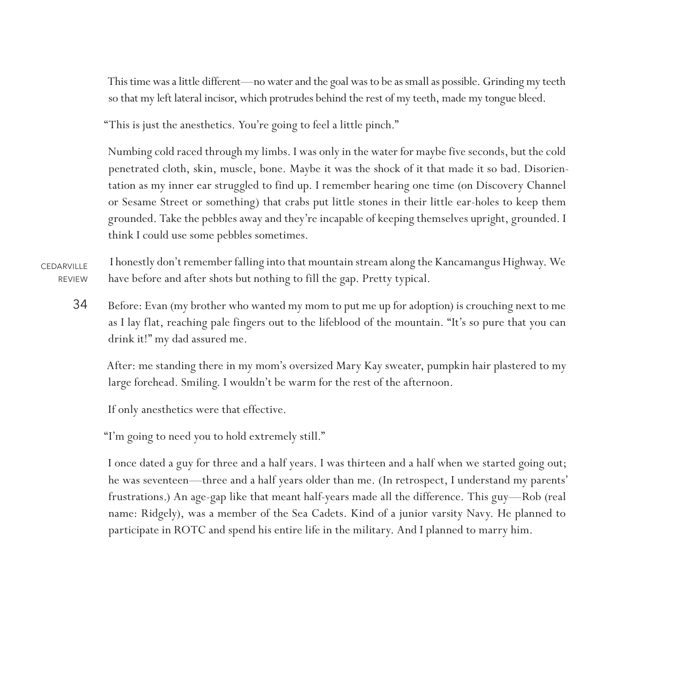This time was a little different—no water and the goal was to be as small as possible. Grinding my teeth so that my left lateral incisor, which protrudes behind the rest of my teeth, made my tongue bleed.

"This is just the anesthetics. You're going to feel a little pinch."

Numbing cold raced through my limbs. I was only in the water for maybe five seconds, but the cold penetrated cloth, skin, muscle, bone. Maybe it was the shock of it that made it so bad. Disorientation as my inner ear struggled to find up. I remember hearing one time (on Discovery Channel or Sesame Street or something) that crabs put little stones in their little ear-holes to keep them grounded. Take the pebbles away and they're incapable of keeping themselves upright, grounded. I think I could use some pebbles sometimes.

**CEDARVILLE** REVIEW I honestly don't remember falling into that mountain stream along the Kancamangus Highway. We have before and after shots but nothing to fill the gap. Pretty typical.

34 Before: Evan (my brother who wanted my mom to put me up for adoption) is crouching next to me as I lay flat, reaching pale fingers out to the lifeblood of the mountain. "It's so pure that you can drink it!" my dad assured me.

After: me standing there in my mom's oversized Mary Kay sweater, pumpkin hair plastered to my large forehead. Smiling. I wouldn't be warm for the rest of the afternoon.

If only anesthetics were that effective.

"I'm going to need you to hold extremely still."

I once dated a guy for three and a half years. I was thirteen and a half when we started going out; he was seventeen—three and a half years older than me. (In retrospect, I understand my parents' frustrations.) An age-gap like that meant half-years made all the difference. This guy—Rob (real name: Ridgely), was a member of the Sea Cadets. Kind of a junior varsity Navy. He planned to participate in ROTC and spend his entire life in the military. And I planned to marry him.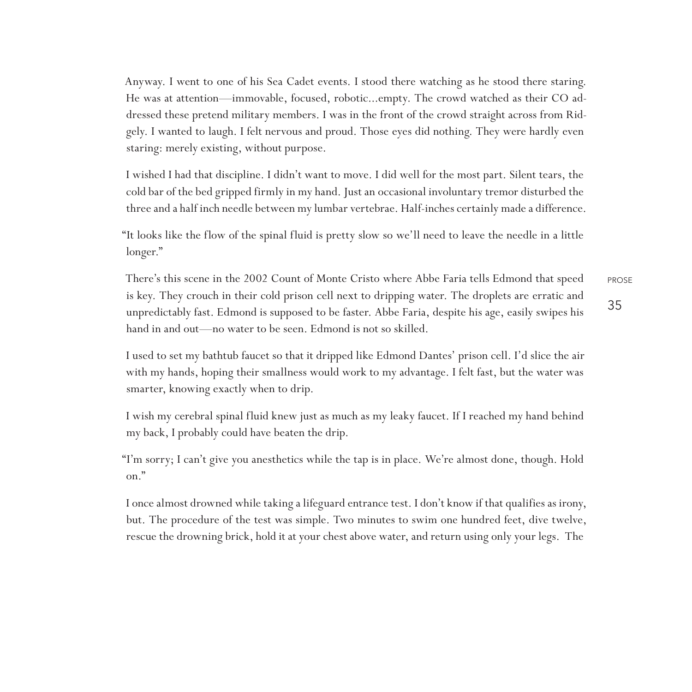Anyway. I went to one of his Sea Cadet events. I stood there watching as he stood there staring. He was at attention—immovable, focused, robotic...empty. The crowd watched as their CO addressed these pretend military members. I was in the front of the crowd straight across from Ridgely. I wanted to laugh. I felt nervous and proud. Those eyes did nothing. They were hardly even staring: merely existing, without purpose.

I wished I had that discipline. I didn't want to move. I did well for the most part. Silent tears, the cold bar of the bed gripped firmly in my hand. Just an occasional involuntary tremor disturbed the three and a half inch needle between my lumbar vertebrae. Half-inches certainly made a difference.

"It looks like the flow of the spinal fluid is pretty slow so we'll need to leave the needle in a little longer."

PROSE 35 There's this scene in the 2002 Count of Monte Cristo where Abbe Faria tells Edmond that speed is key. They crouch in their cold prison cell next to dripping water. The droplets are erratic and unpredictably fast. Edmond is supposed to be faster. Abbe Faria, despite his age, easily swipes his hand in and out—no water to be seen. Edmond is not so skilled.

I used to set my bathtub faucet so that it dripped like Edmond Dantes' prison cell. I'd slice the air with my hands, hoping their smallness would work to my advantage. I felt fast, but the water was smarter, knowing exactly when to drip.

I wish my cerebral spinal fluid knew just as much as my leaky faucet. If I reached my hand behind my back, I probably could have beaten the drip.

"I'm sorry; I can't give you anesthetics while the tap is in place. We're almost done, though. Hold on."

I once almost drowned while taking a lifeguard entrance test. I don't know if that qualifies as irony, but. The procedure of the test was simple. Two minutes to swim one hundred feet, dive twelve, rescue the drowning brick, hold it at your chest above water, and return using only your legs. The